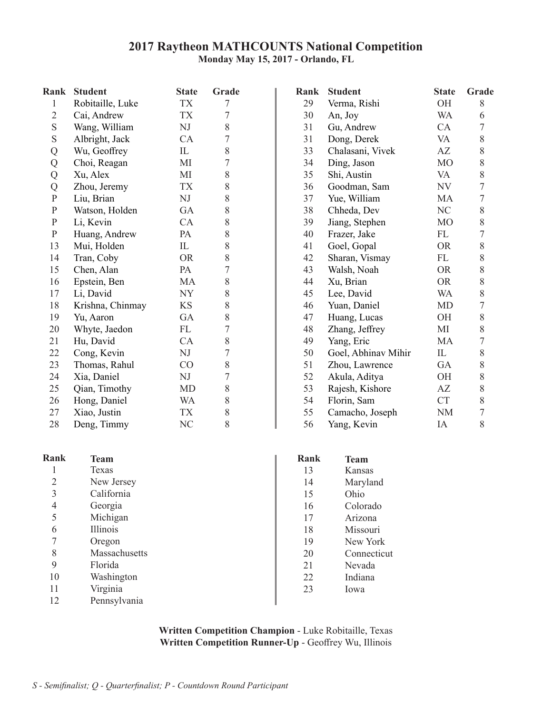### **2017 Raytheon MATHCOUNTS National Competition Monday May 15, 2017 - Orlando, FL**

| Rank              | <b>Student</b>   | <b>State</b>   | Grade          |
|-------------------|------------------|----------------|----------------|
| $\mathbf{1}$      | Robitaille, Luke | <b>TX</b>      | 7              |
| 2                 | Cai, Andrew      | TX             | 7              |
| S                 | Wang, William    | NJ             | 8              |
| S                 | Albright, Jack   | CA             | $\overline{7}$ |
|                   | Wu, Geoffrey     | IL             | 8              |
| $Q$<br>$Q$<br>$Q$ | Choi, Reagan     | MI             | 7              |
|                   | Xu, Alex         | MI             | 8              |
|                   | Zhou, Jeremy     | TX             | 8              |
| $\overline{P}$    | Liu, Brian       | NJ             | 8              |
| ${\bf P}$         | Watson, Holden   | GA             | 8              |
| $\mathbf{P}$      | Li, Kevin        | CA             | 8              |
| $\mathbf P$       | Huang, Andrew    | PA             | 8              |
| 13                | Mui, Holden      | IL             | 8              |
| 14                | Tran, Coby       | <b>OR</b>      | 8              |
| 15                | Chen, Alan       | PA             | $\overline{7}$ |
| 16                | Epstein, Ben     | MA             | 8              |
| 17                | Li, David        | NY             | 8              |
| 18                | Krishna, Chinmay | KS             | 8              |
| 19                | Yu, Aaron        | GA             | 8              |
| 20                | Whyte, Jaedon    | FL             | $\overline{7}$ |
| 21                | Hu, David        | CA             | 8              |
| 22                | Cong, Kevin      | NJ             | $\overline{7}$ |
| 23                | Thomas, Rahul    | CO             | 8              |
| 24                | Xia, Daniel      | NJ             | 7              |
| 25                | Qian, Timothy    | MD             | 8              |
| 26                | Hong, Daniel     | WA             | 8              |
| 27                | Xiao, Justin     | <b>TX</b>      | 8              |
| 28                | Deng, Timmy      | N <sub>C</sub> | 8              |

|   | Texas      |
|---|------------|
| 2 | New Jersey |
| 3 | California |
| 4 | Georgia    |

| 5  | Michigan      |
|----|---------------|
| 6  | Illinois      |
| 7  | Oregon        |
| 8  | Massachusetts |
| 9  | Florida       |
| 10 | Washington    |
|    |               |

Virginia Pennsylvania 11 12

| Rank           | <b>Student</b>   | <b>State</b> | Grade            | Rank | <b>Student</b>      | <b>State</b>   | Grade |
|----------------|------------------|--------------|------------------|------|---------------------|----------------|-------|
| 1              | Robitaille, Luke | <b>TX</b>    | 7                | 29   | Verma, Rishi        | OH             | 8     |
| $\overline{2}$ | Cai, Andrew      | <b>TX</b>    | 7                | 30   | An, Joy             | <b>WA</b>      | 6     |
| $\mathbf S$    | Wang, William    | NJ           | 8                | 31   | Gu, Andrew          | CA             |       |
| S              | Albright, Jack   | CA           | 7                | 31   | Dong, Derek         | VA             | 8     |
| Q              | Wu, Geoffrey     | IL           | 8                | 33   | Chalasani, Vivek    | AZ             | 8     |
| Q              | Choi, Reagan     | MI           | 7                | 34   | Ding, Jason         | M <sub>O</sub> | 8     |
| Q              | Xu, Alex         | МI           | 8                | 35   | Shi, Austin         | VA             | 8     |
| Q              | Zhou, Jeremy     | <b>TX</b>    | 8                | 36   | Goodman, Sam        | NV             |       |
| ${\bf P}$      | Liu, Brian       | NJ           | 8                | 37   | Yue, William        | MA             |       |
| ${\bf P}$      | Watson, Holden   | GA           | 8                | 38   | Chheda, Dev         | NC             | 8     |
| ${\bf P}$      | Li, Kevin        | <b>CA</b>    | 8                | 39   | Jiang, Stephen      | MO             | 8     |
| $\mathbf{P}$   | Huang, Andrew    | PA           | 8                | 40   | Frazer, Jake        | FL             | 7     |
| 13             | Mui, Holden      | IL           | 8                | 41   | Goel, Gopal         | <b>OR</b>      | 8     |
| 14             | Tran, Coby       | <b>OR</b>    | 8                | 42   | Sharan, Vismay      | FL             | 8     |
| 15             | Chen, Alan       | PA           | 7                | 43   | Walsh, Noah         | <b>OR</b>      | 8     |
| 16             | Epstein, Ben     | MA           | 8                | 44   | Xu, Brian           | <b>OR</b>      | 8     |
| 17             | Li, David        | <b>NY</b>    | 8                | 45   | Lee, David          | WA             | 8     |
| 18             | Krishna, Chinmay | <b>KS</b>    | 8                | 46   | Yuan, Daniel        | <b>MD</b>      |       |
| 19             | Yu, Aaron        | GA           | 8                | 47   | Huang, Lucas        | <b>OH</b>      | 8     |
| 20             | Whyte, Jaedon    | FL           | $\boldsymbol{7}$ | 48   | Zhang, Jeffrey      | MI             | 8     |
| 21             | Hu, David        | <b>CA</b>    | 8                | 49   | Yang, Eric          | MA             |       |
| 22             | Cong, Kevin      | NJ           | 7                | 50   | Goel, Abhinav Mihir | IL             | 8     |
| 23             | Thomas, Rahul    | CO           | 8                | 51   | Zhou, Lawrence      | GA             | 8     |
| 24             | Xia, Daniel      | NJ           | 7                | 52   | Akula, Aditya       | <b>OH</b>      | 8     |
| 25             | Qian, Timothy    | MD           | 8                | 53   | Rajesh, Kishore     | AZ             | 8     |
| 26             | Hong, Daniel     | <b>WA</b>    | 8                | 54   | Florin, Sam         | <b>CT</b>      | 8     |
| 27             | Xiao, Justin     | TX           | 8                | 55   | Camacho, Joseph     | <b>NM</b>      |       |
| 28             | Deng, Timmy      | NC           | 8                | 56   | Yang, Kevin         | IA             | 8     |

| Rank | <b>Team</b>   | Rank | <b>Team</b> |
|------|---------------|------|-------------|
|      | Texas         | 13   | Kansas      |
| 2    | New Jersey    | 14   | Maryland    |
| 3    | California    | 15   | Ohio        |
| 4    | Georgia       | 16   | Colorado    |
| 5    | Michigan      | 17   | Arizona     |
| 6    | Illinois      | 18   | Missouri    |
|      | Oregon        | 19   | New York    |
| 8    | Massachusetts | 20   | Connecticut |
| 9    | Florida       | 21   | Nevada      |
| 10   | Washington    | 22   | Indiana     |
| 11   | Virginia      | 23   | Iowa        |
| 12.  | Pennsylvania  |      |             |

**Written Competition Champion** - Luke Robitaille, Texas **Written Competition Runner-Up** - Geoffrey Wu, Illinois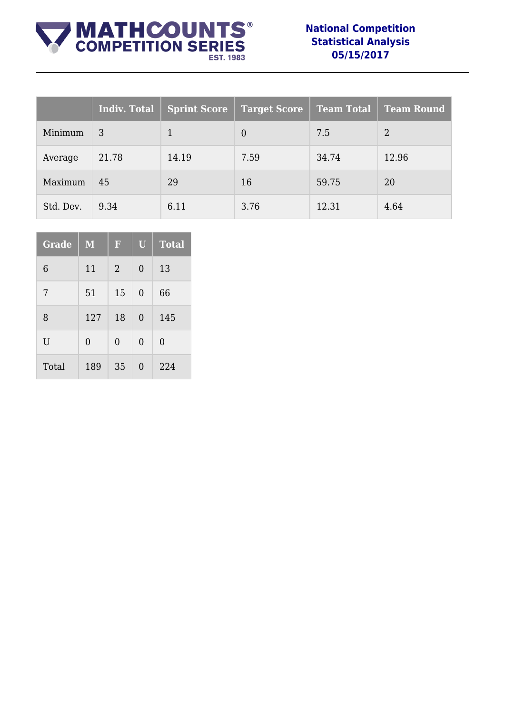

### **National Competition Statistical Analysis 05/15/2017**

|           | Indiv. Total | Sprint Score | <b>Target Score</b> | <b>Team Total</b> | <b>Team Round</b> |
|-----------|--------------|--------------|---------------------|-------------------|-------------------|
| Minimum   | 3            | 1            | $\theta$            | 7.5               | 2                 |
| Average   | 21.78        | 14.19        | 7.59                | 34.74             | 12.96             |
| Maximum   | 45           | 29           | 16                  | 59.75             | 20                |
| Std. Dev. | 9.34         | 6.11         | 3.76                | 12.31             | 4.64              |

| <b>Grade</b> | $\mathbf{M}$   | F              | $\mathbf U$    | <b>Total</b>   |
|--------------|----------------|----------------|----------------|----------------|
| 6            | 11             | 2              | 0              | 13             |
| 7            | 51             | 15             | $\overline{0}$ | 66             |
| 8            | 127            | 18             | $\theta$       | 145            |
| U            | $\overline{0}$ | $\overline{0}$ | $\overline{0}$ | $\overline{0}$ |
| Total        | 189            | 35             | 0              | 224            |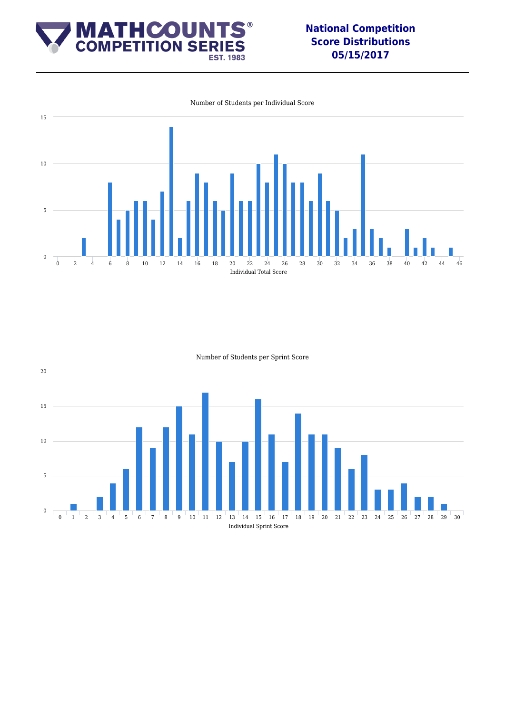

### **National Competition Score Distributions 05/15/2017**



Number of Students per Individual Score

Number of Students per Sprint Score

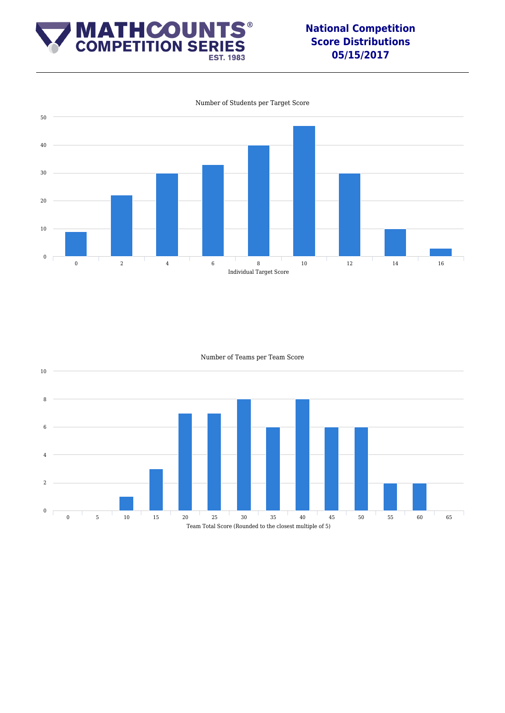

### **National Competition Score Distributions 05/15/2017**



Number of Students per Target Score

Number of Teams per Team Score

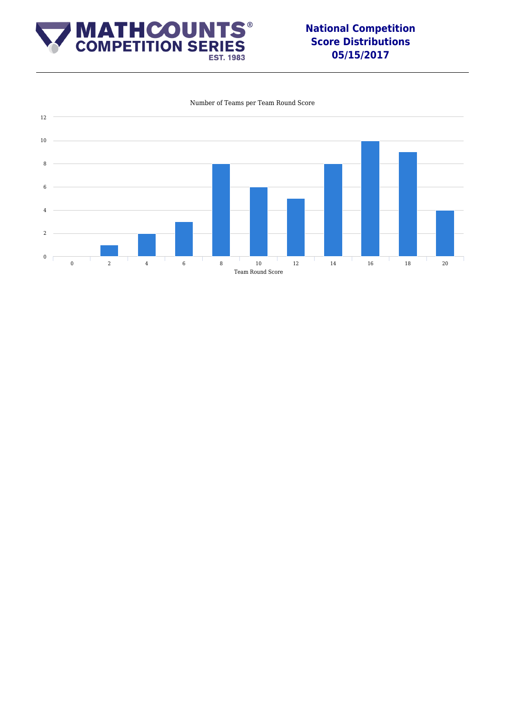

### **National Competition Score Distributions 05/15/2017**



#### Number of Teams per Team Round Score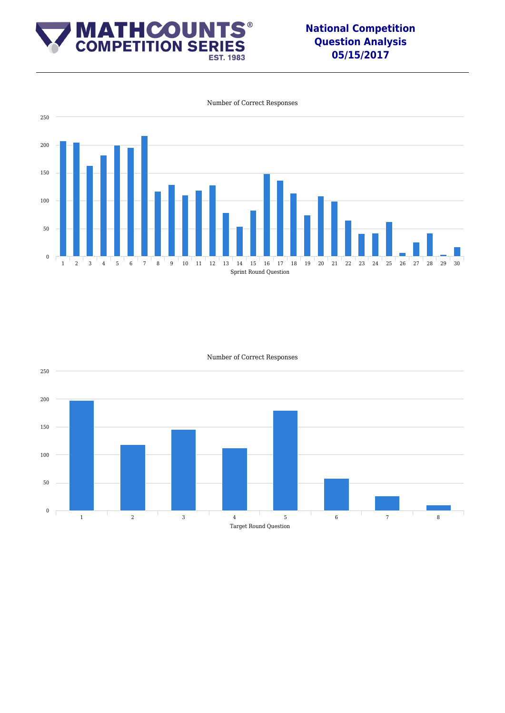

### **National Competition Question Analysis 05/15/2017**



Number of Correct Responses

Number of Correct Responses

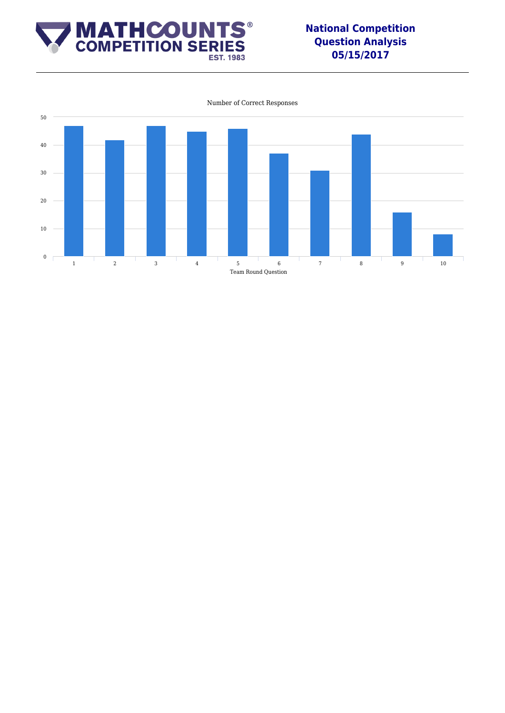

### **National Competition Question Analysis 05/15/2017**



Number of Correct Responses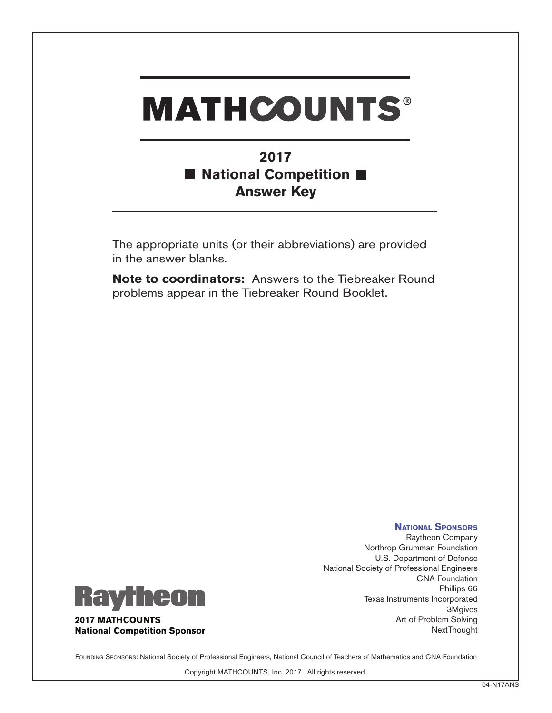### **2017** ■ National Competition ■ **Answer Key**

The appropriate units (or their abbreviations) are provided in the answer blanks.

**Note to coordinators:** Answers to the Tiebreaker Round problems appear in the Tiebreaker Round Booklet.



**2017 MATHCOUNTS National Competition Sponsor** 

**National Sponsors** Raytheon Company Northrop Grumman Foundation U.S. Department of Defense National Society of Professional Engineers CNA Foundation Phillips 66 Texas Instruments Incorporated 3Mgives Art of Problem Solving **NextThought** 

FOUNDING SPONSORS: National Society of Professional Engineers, National Council of Teachers of Mathematics and CNA Foundation

Copyright MATHCOUNTS, Inc. 2017. All rights reserved.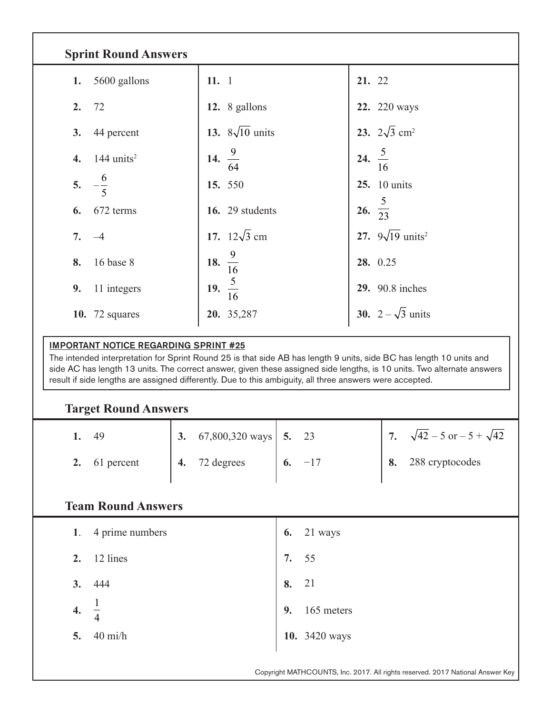| <b>Sprint Round Answers</b>                                                                                                                                                                                                                                                                                                                                                                               |                             |                                           |  |  |
|-----------------------------------------------------------------------------------------------------------------------------------------------------------------------------------------------------------------------------------------------------------------------------------------------------------------------------------------------------------------------------------------------------------|-----------------------------|-------------------------------------------|--|--|
| 5600 gallons<br>1.                                                                                                                                                                                                                                                                                                                                                                                        | 11.1                        | 21. 22                                    |  |  |
| 72<br>2.                                                                                                                                                                                                                                                                                                                                                                                                  | 12. 8 gallons               | 22. 220 ways                              |  |  |
| 3.<br>44 percent                                                                                                                                                                                                                                                                                                                                                                                          | 13. $8\sqrt{10}$ units      | 23. $2\sqrt{3}$ cm <sup>2</sup>           |  |  |
| 144 units $2$<br>$\boldsymbol{4}$ .                                                                                                                                                                                                                                                                                                                                                                       | 14. $\frac{9}{64}$          | 24. $rac{5}{16}$                          |  |  |
| $-\frac{6}{5}$<br>5.                                                                                                                                                                                                                                                                                                                                                                                      | 15. 550                     | <b>25.</b> 10 units                       |  |  |
| 672 terms<br>6.                                                                                                                                                                                                                                                                                                                                                                                           | 16. 29 students             | 26. $\frac{5}{23}$                        |  |  |
| 7.<br>$-4$                                                                                                                                                                                                                                                                                                                                                                                                | 17. $12\sqrt{3}$ cm         | 27. $9\sqrt{19}$ units <sup>2</sup>       |  |  |
| 16 base 8<br>8.                                                                                                                                                                                                                                                                                                                                                                                           | 18. $\frac{9}{16}$          | 28. 0.25                                  |  |  |
| 9.<br>11 integers                                                                                                                                                                                                                                                                                                                                                                                         | 19. $\frac{5}{16}$          | <b>29.</b> 90.8 inches                    |  |  |
| <b>10.</b> 72 squares                                                                                                                                                                                                                                                                                                                                                                                     | 20. 35,287                  | <b>30.</b> $2 - \sqrt{3}$ units           |  |  |
| <b>IMPORTANT NOTICE REGARDING SPRINT #25</b><br>The intended interpretation for Sprint Round 25 is that side AB has length 9 units, side BC has length 10 units and<br>side AC has length 13 units. The correct answer, given these assigned side lengths, is 10 units. Two alternate answers<br>result if side lengths are assigned differently. Due to this ambiguity, all three answers were accepted. |                             |                                           |  |  |
| <b>Target Round Answers</b>                                                                                                                                                                                                                                                                                                                                                                               |                             |                                           |  |  |
| 49<br>1.<br>3.                                                                                                                                                                                                                                                                                                                                                                                            | 67,800,320 ways<br>5.<br>23 | $\sqrt{42} - 5$ or $-5 + \sqrt{42}$<br>7. |  |  |
| $\boldsymbol{4}$ .<br>2.<br>61 percent                                                                                                                                                                                                                                                                                                                                                                    | 72 degrees<br>$-17$<br>6.   | 288 cryptocodes<br>8.                     |  |  |

### **Team Round Answers**

|                    | 1. 4 prime numbers                         | 6.    | 21 ways       |
|--------------------|--------------------------------------------|-------|---------------|
| 2.                 | 12 lines                                   | 7. 55 |               |
| 3.                 | 444                                        | 8. 21 |               |
| $\boldsymbol{4}$ . | $\overline{\phantom{m}}$<br>$\overline{4}$ | 9.    | 165 meters    |
| 5.                 | $40 \text{ mi/h}$                          |       | 10. 3420 ways |

Copyright MATHCOUNTS, Inc. 2017. All rights reserved. 2017 National Answer Key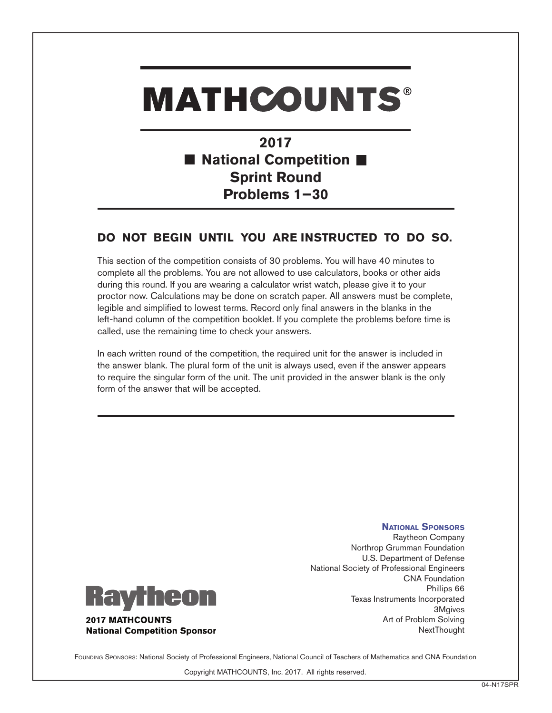**2017** ■ National Competition ■ **Sprint Round Problems 1−30**

### **DO NOT BEGIN UNTIL YOU ARE INSTRUCTED TO DO SO.**

This section of the competition consists of 30 problems. You will have 40 minutes to complete all the problems. You are not allowed to use calculators, books or other aids during this round. If you are wearing a calculator wrist watch, please give it to your proctor now. Calculations may be done on scratch paper. All answers must be complete, legible and simplified to lowest terms. Record only final answers in the blanks in the left-hand column of the competition booklet. If you complete the problems before time is called, use the remaining time to check your answers.

In each written round of the competition, the required unit for the answer is included in the answer blank. The plural form of the unit is always used, even if the answer appears to require the singular form of the unit. The unit provided in the answer blank is the only form of the answer that will be accepted.



**National Competition Sponsor** 

Raytheon Company Northrop Grumman Foundation U.S. Department of Defense National Society of Professional Engineers CNA Foundation Phillips 66 Texas Instruments Incorporated 3Mgives Art of Problem Solving **NextThought** 

**National Sponsors**

FOUNDING SPONSORS: National Society of Professional Engineers, National Council of Teachers of Mathematics and CNA Foundation

Copyright MATHCOUNTS, Inc. 2017. All rights reserved.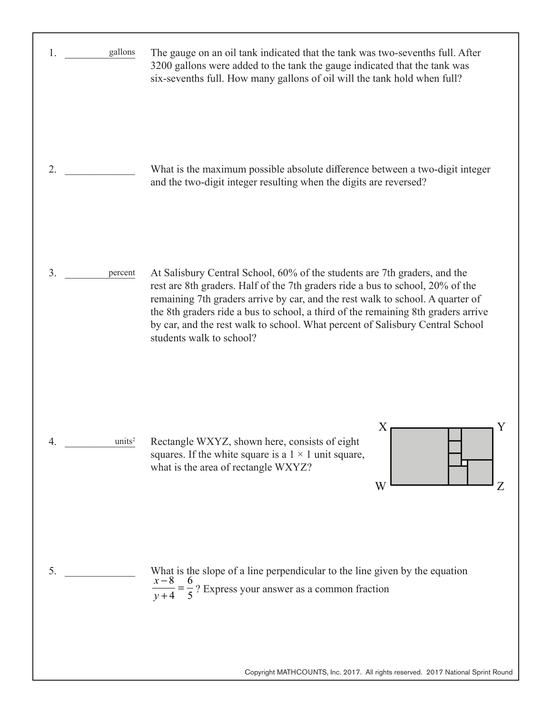| gallons<br>1.      | The gauge on an oil tank indicated that the tank was two-sevenths full. After<br>3200 gallons were added to the tank the gauge indicated that the tank was<br>six-sevenths full. How many gallons of oil will the tank hold when full?                                                                                                                                                                                                          |
|--------------------|-------------------------------------------------------------------------------------------------------------------------------------------------------------------------------------------------------------------------------------------------------------------------------------------------------------------------------------------------------------------------------------------------------------------------------------------------|
| 2.                 | What is the maximum possible absolute difference between a two-digit integer<br>and the two-digit integer resulting when the digits are reversed?                                                                                                                                                                                                                                                                                               |
| 3.<br>percent      | At Salisbury Central School, 60% of the students are 7th graders, and the<br>rest are 8th graders. Half of the 7th graders ride a bus to school, 20% of the<br>remaining 7th graders arrive by car, and the rest walk to school. A quarter of<br>the 8th graders ride a bus to school, a third of the remaining 8th graders arrive<br>by car, and the rest walk to school. What percent of Salisbury Central School<br>students walk to school? |
| units <sup>2</sup> | Rectangle WXYZ, shown here, consists of eight<br>squares. If the white square is a $1 \times 1$ unit square,<br>what is the area of rectangle WXYZ?<br>W<br>Z                                                                                                                                                                                                                                                                                   |
| 5.                 | What is the slope of a line perpendicular to the line given by the equation<br>$=\frac{6}{5}$ ? Express your answer as a common fraction                                                                                                                                                                                                                                                                                                        |

Copyright MATHCOUNTS, Inc. 2017. All rights reserved. 2017 National Sprint Round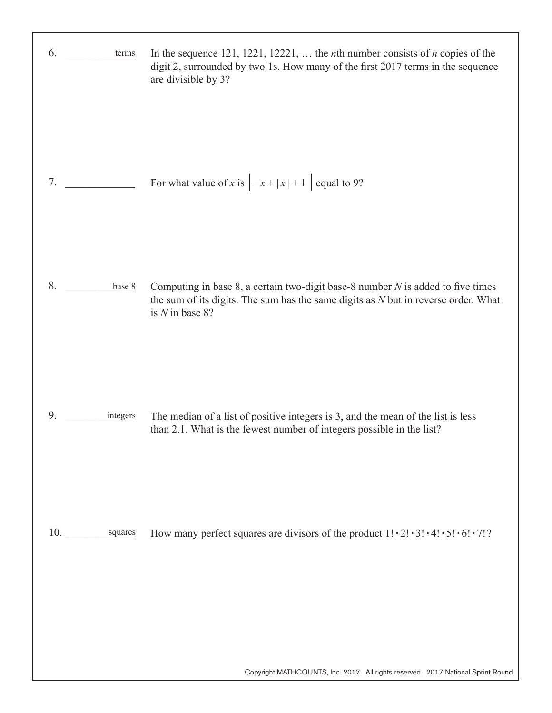| 6.<br>terms    | In the sequence 121, 1221, 12221,  the <i>n</i> th number consists of <i>n</i> copies of the<br>digit 2, surrounded by two 1s. How many of the first 2017 terms in the sequence<br>are divisible by 3? |
|----------------|--------------------------------------------------------------------------------------------------------------------------------------------------------------------------------------------------------|
| 7.             | For what value of x is $\left -x+ x +1\right $ equal to 9?                                                                                                                                             |
| 8.<br>base 8   | Computing in base 8, a certain two-digit base-8 number $N$ is added to five times<br>the sum of its digits. The sum has the same digits as $N$ but in reverse order. What<br>is $N$ in base 8?         |
| 9.<br>integers | The median of a list of positive integers is 3, and the mean of the list is less<br>than 2.1. What is the fewest number of integers possible in the list?                                              |
| 10. squares    | How many perfect squares are divisors of the product $1! \cdot 2! \cdot 3! \cdot 4! \cdot 5! \cdot 6! \cdot 7!$ ?                                                                                      |
|                | Copyright MATHCOUNTS, Inc. 2017. All rights reserved. 2017 National Sprint Round                                                                                                                       |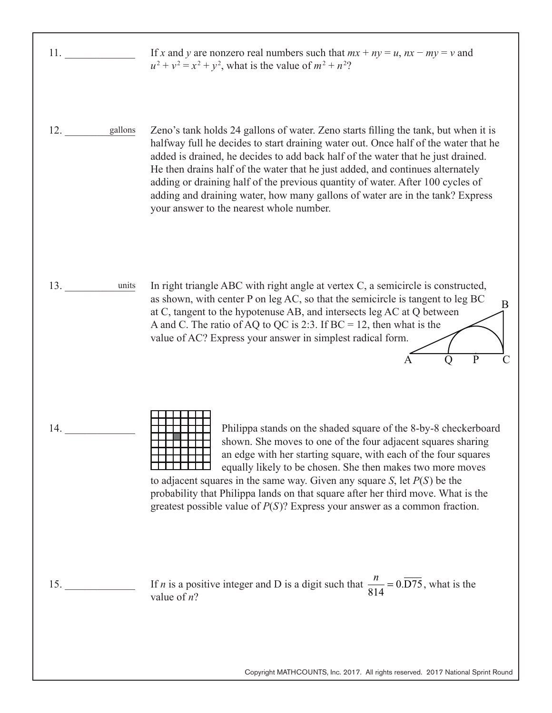11. \_\_\_\_\_\_\_\_\_\_\_\_\_ 12. \_\_\_\_\_\_\_\_\_\_\_\_\_ 13. \_\_\_\_\_\_\_\_\_\_\_\_\_ 14. \_\_\_\_\_\_\_\_\_\_\_\_\_ 15. \_\_\_\_\_\_\_\_\_\_\_\_\_ If *x* and *y* are nonzero real numbers such that  $mx + ny = u$ ,  $nx - my = v$  and  $u^2 + v^2 = x^2 + y^2$ , what is the value of  $m^2 + n^2$ ? Zeno's tank holds 24 gallons of water. Zeno starts filling the tank, but when it is halfway full he decides to start draining water out. Once half of the water that he added is drained, he decides to add back half of the water that he just drained. He then drains half of the water that he just added, and continues alternately adding or draining half of the previous quantity of water. After 100 cycles of adding and draining water, how many gallons of water are in the tank? Express your answer to the nearest whole number. In right triangle ABC with right angle at vertex C, a semicircle is constructed, as shown, with center P on leg AC, so that the semicircle is tangent to leg BC at C, tangent to the hypotenuse AB, and intersects leg AC at Q between A and C. The ratio of AQ to QC is 2:3. If  $BC = 12$ , then what is the value of AC? Express your answer in simplest radical form. Philippa stands on the shaded square of the 8-by-8 checkerboard shown. She moves to one of the four adjacent squares sharing an edge with her starting square, with each of the four squares equally likely to be chosen. She then makes two more moves to adjacent squares in the same way. Given any square *S*, let *P*(*S*) be the probability that Philippa lands on that square after her third move. What is the greatest possible value of *P*(*S*)? Express your answer as a common fraction. If *n* is a positive integer and D is a digit such that  $\frac{n}{814} = 0.\overline{D75}$ , what is the value of *n*? gallons B  $\overline{A}$   $\overline{O}$   $\overline{P}$   $\overline{C}$ units

Copyright MATHCOUNTS, Inc. 2017. All rights reserved. 2017 National Sprint Round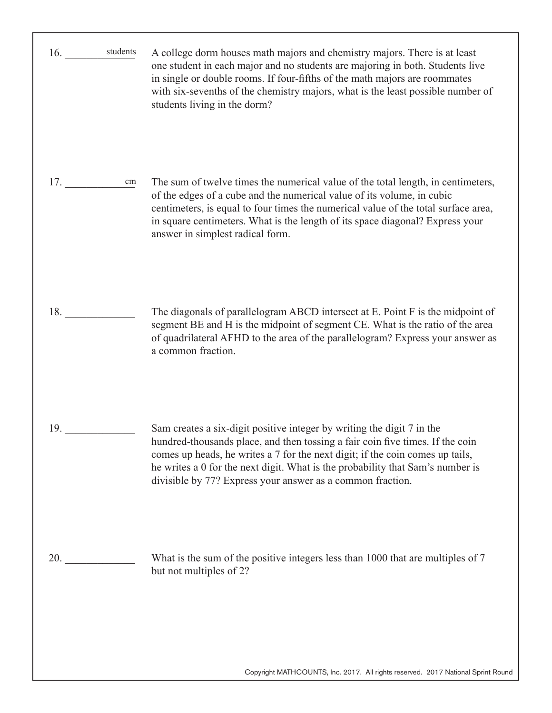| students<br>16. | A college dorm houses math majors and chemistry majors. There is at least<br>one student in each major and no students are majoring in both. Students live<br>in single or double rooms. If four-fifths of the math majors are roommates<br>with six-sevenths of the chemistry majors, what is the least possible number of<br>students living in the dorm?                              |
|-----------------|------------------------------------------------------------------------------------------------------------------------------------------------------------------------------------------------------------------------------------------------------------------------------------------------------------------------------------------------------------------------------------------|
| 17.<br>cm       | The sum of twelve times the numerical value of the total length, in centimeters,<br>of the edges of a cube and the numerical value of its volume, in cubic<br>centimeters, is equal to four times the numerical value of the total surface area,<br>in square centimeters. What is the length of its space diagonal? Express your<br>answer in simplest radical form.                    |
| 18.             | The diagonals of parallelogram ABCD intersect at E. Point F is the midpoint of<br>segment BE and H is the midpoint of segment CE. What is the ratio of the area<br>of quadrilateral AFHD to the area of the parallelogram? Express your answer as<br>a common fraction.                                                                                                                  |
| 19.             | Sam creates a six-digit positive integer by writing the digit 7 in the<br>hundred-thousands place, and then tossing a fair coin five times. If the coin<br>comes up heads, he writes a 7 for the next digit; if the coin comes up tails,<br>he writes a 0 for the next digit. What is the probability that Sam's number is<br>divisible by 77? Express your answer as a common fraction. |
| 20.             | What is the sum of the positive integers less than 1000 that are multiples of 7<br>but not multiples of 2?                                                                                                                                                                                                                                                                               |
|                 | Copyright MATHCOUNTS, Inc. 2017. All rights reserved. 2017 National Sprint Round                                                                                                                                                                                                                                                                                                         |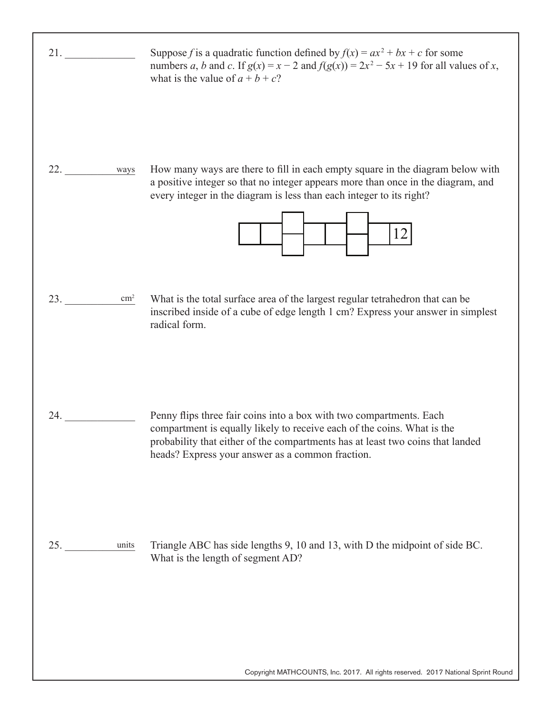| 21.                  | Suppose f is a quadratic function defined by $f(x) = ax^2 + bx + c$ for some<br>numbers a, b and c. If $g(x) = x - 2$ and $f(g(x)) = 2x^2 - 5x + 19$ for all values of x,<br>what is the value of $a + b + c$ ?                                                                      |
|----------------------|--------------------------------------------------------------------------------------------------------------------------------------------------------------------------------------------------------------------------------------------------------------------------------------|
| 22.<br>ways          | How many ways are there to fill in each empty square in the diagram below with<br>a positive integer so that no integer appears more than once in the diagram, and<br>every integer in the diagram is less than each integer to its right?<br>12                                     |
| 23.<br>$\text{cm}^2$ | What is the total surface area of the largest regular tetrahedron that can be<br>inscribed inside of a cube of edge length 1 cm? Express your answer in simplest<br>radical form.                                                                                                    |
| 24.                  | Penny flips three fair coins into a box with two compartments. Each<br>compartment is equally likely to receive each of the coins. What is the<br>probability that either of the compartments has at least two coins that landed<br>heads? Express your answer as a common fraction. |
| 25.<br>units         | Triangle ABC has side lengths 9, 10 and 13, with D the midpoint of side BC.<br>What is the length of segment AD?                                                                                                                                                                     |
|                      | Copyright MATHCOUNTS, Inc. 2017. All rights reserved. 2017 National Sprint Round                                                                                                                                                                                                     |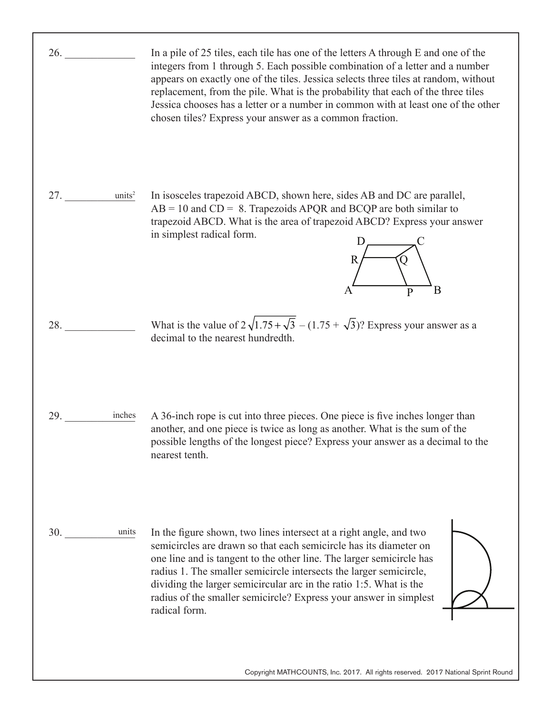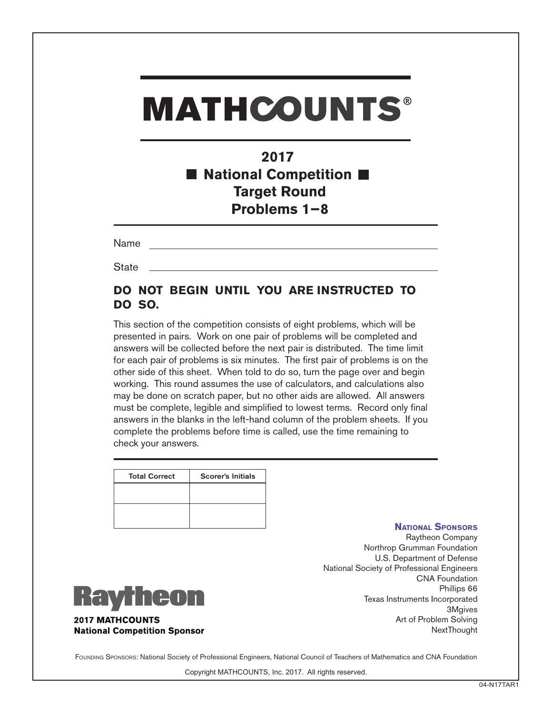### **2017** ■ National Competition ■ **Target Round Problems 1−8**

Name

**State** 

### **DO NOT BEGIN UNTIL YOU ARE INSTRUCTED TO DO SO.**

This section of the competition consists of eight problems, which will be presented in pairs. Work on one pair of problems will be completed and answers will be collected before the next pair is distributed. The time limit for each pair of problems is six minutes. The first pair of problems is on the other side of this sheet. When told to do so, turn the page over and begin working. This round assumes the use of calculators, and calculations also may be done on scratch paper, but no other aids are allowed. All answers must be complete, legible and simplified to lowest terms. Record only final answers in the blanks in the left-hand column of the problem sheets. If you complete the problems before time is called, use the time remaining to check your answers.

| <b>Total Correct</b> | <b>Scorer's Initials</b> |
|----------------------|--------------------------|
|                      |                          |
|                      |                          |
|                      |                          |
|                      |                          |

#### **National Sponsors**

Raytheon Company Northrop Grumman Foundation U.S. Department of Defense National Society of Professional Engineers CNA Foundation Phillips 66 Texas Instruments Incorporated 3Mgives Art of Problem Solving **NextThought** 



**2017 MATHCOUNTS National Competition Sponsor** 

FOUNDING SPONSORS: National Society of Professional Engineers, National Council of Teachers of Mathematics and CNA Foundation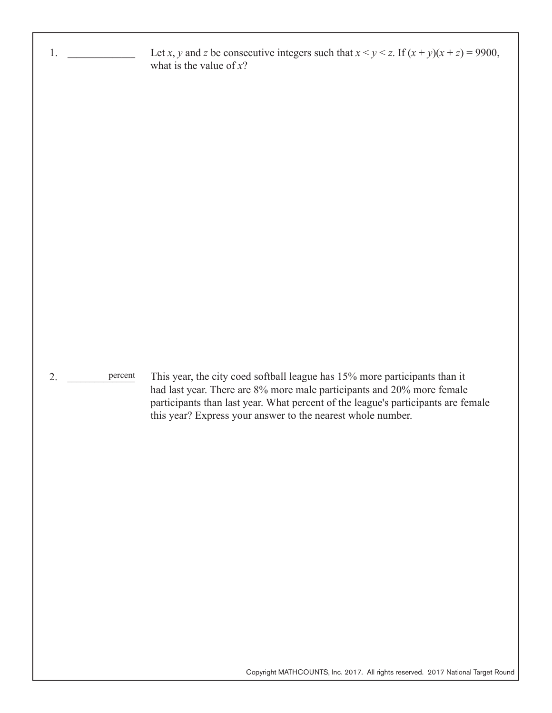| 1.            | Let x, y and z be consecutive integers such that $x < y < z$ . If $(x + y)(x + z) = 9900$ ,<br>what is the value of $x$ ?                                                                                                  |
|---------------|----------------------------------------------------------------------------------------------------------------------------------------------------------------------------------------------------------------------------|
|               |                                                                                                                                                                                                                            |
|               |                                                                                                                                                                                                                            |
|               |                                                                                                                                                                                                                            |
|               |                                                                                                                                                                                                                            |
|               |                                                                                                                                                                                                                            |
|               |                                                                                                                                                                                                                            |
|               |                                                                                                                                                                                                                            |
| 2.<br>percent | This year, the city coed softball league has 15% more participants than it                                                                                                                                                 |
|               | had last year. There are 8% more male participants and 20% more female<br>participants than last year. What percent of the league's participants are female<br>this year? Express your answer to the nearest whole number. |
|               |                                                                                                                                                                                                                            |
|               |                                                                                                                                                                                                                            |
|               |                                                                                                                                                                                                                            |
|               |                                                                                                                                                                                                                            |
|               |                                                                                                                                                                                                                            |
|               |                                                                                                                                                                                                                            |
|               | Copyright MATHCOUNTS, Inc. 2017. All rights reserved. 2017 National Target Round                                                                                                                                           |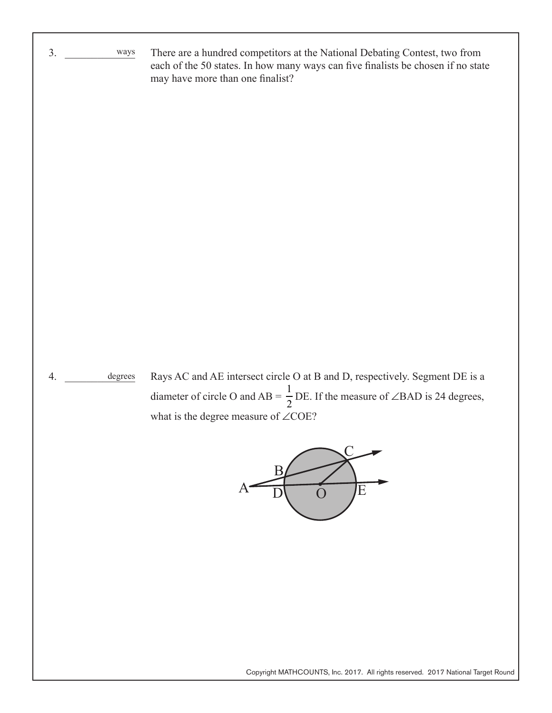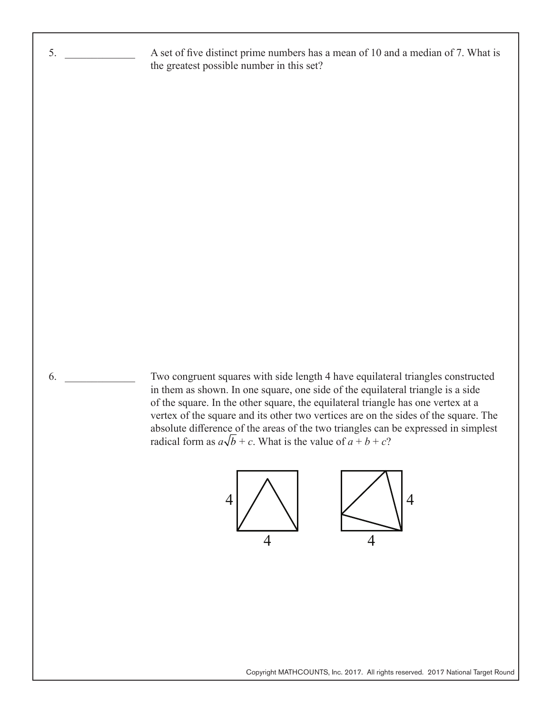A set of five distinct prime numbers has a mean of 10 and a median of 7. What is the greatest possible number in this set?

 $6.$ 

5. \_\_\_\_\_\_\_\_\_\_\_\_\_

Two congruent squares with side length 4 have equilateral triangles constructed in them as shown. In one square, one side of the equilateral triangle is a side of the square. In the other square, the equilateral triangle has one vertex at a vertex of the square and its other two vertices are on the sides of the square. The absolute difference of the areas of the two triangles can be expressed in simplest radical form as  $a\sqrt{b} + c$ . What is the value of  $a + b + c$ ?



Copyright MATHCOUNTS, Inc. 2017. All rights reserved. 2017 National Target Round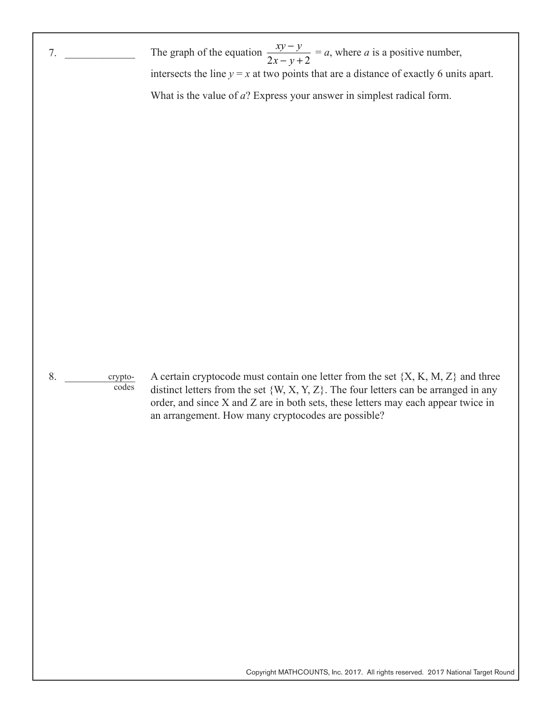| 7.                                           | The graph of the equation $\frac{xy-y}{2x-y+2} = a$ , where a is a positive number,                                                                                                                                                                                                                                         |
|----------------------------------------------|-----------------------------------------------------------------------------------------------------------------------------------------------------------------------------------------------------------------------------------------------------------------------------------------------------------------------------|
|                                              | intersects the line $y = x$ at two points that are a distance of exactly 6 units apart.                                                                                                                                                                                                                                     |
|                                              | What is the value of $a$ ? Express your answer in simplest radical form.                                                                                                                                                                                                                                                    |
|                                              |                                                                                                                                                                                                                                                                                                                             |
| 8.<br>crypto-<br>$\overline{\mathrm{codes}}$ | A certain cryptocode must contain one letter from the set $\{X, K, M, Z\}$ and three<br>distinct letters from the set $\{W, X, Y, Z\}$ . The four letters can be arranged in any<br>order, and since X and Z are in both sets, these letters may each appear twice in<br>an arrangement. How many cryptocodes are possible? |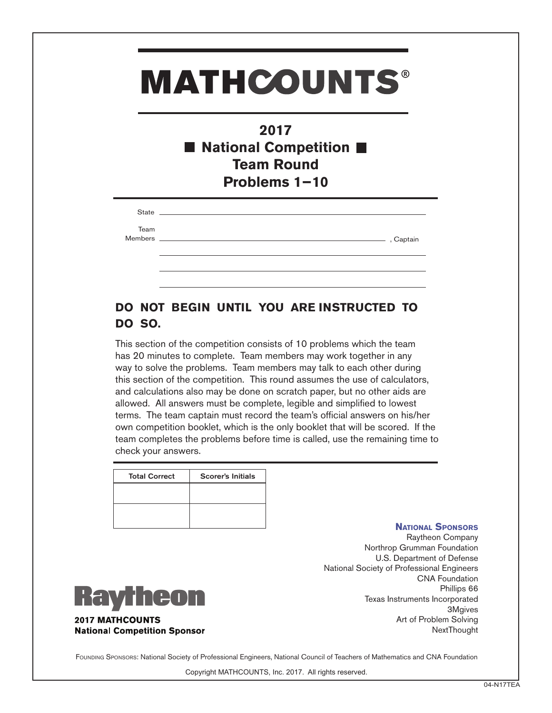### **2017** ■ National Competition ■ **Team Round Problems 1−10**

| State   | the control of the control of the control of the control of the control of the control of |           |
|---------|-------------------------------------------------------------------------------------------|-----------|
| Team    |                                                                                           |           |
| Members |                                                                                           | , Captain |
|         |                                                                                           |           |
|         |                                                                                           |           |

### **DO NOT BEGIN UNTIL YOU ARE INSTRUCTED TO DO SO.**

This section of the competition consists of 10 problems which the team has 20 minutes to complete. Team members may work together in any way to solve the problems. Team members may talk to each other during this section of the competition. This round assumes the use of calculators, and calculations also may be done on scratch paper, but no other aids are allowed. All answers must be complete, legible and simplified to lowest terms. The team captain must record the team's official answers on his/her own competition booklet, which is the only booklet that will be scored. If the team completes the problems before time is called, use the remaining time to check your answers.

| <b>Total Correct</b> | <b>Scorer's Initials</b> |
|----------------------|--------------------------|
|                      |                          |
|                      |                          |
|                      |                          |
|                      |                          |

#### **National Sponsors**

Raytheon Company Northrop Grumman Foundation U.S. Department of Defense National Society of Professional Engineers CNA Foundation Phillips 66 Texas Instruments Incorporated 3Mgives Art of Problem Solving **NextThought** 



**2017 MATHCOUNTS National Competition Sponsor** 

FOUNDING SPONSORS: National Society of Professional Engineers, National Council of Teachers of Mathematics and CNA Foundation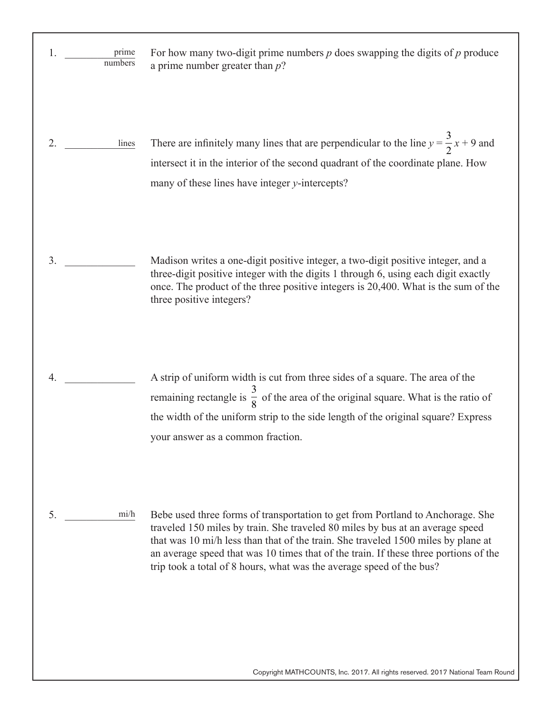| 1.<br>prime<br>numbers | For how many two-digit prime numbers $p$ does swapping the digits of $p$ produce<br>a prime number greater than $p$ ?                                                                                                                                                                                                                                                                                                |
|------------------------|----------------------------------------------------------------------------------------------------------------------------------------------------------------------------------------------------------------------------------------------------------------------------------------------------------------------------------------------------------------------------------------------------------------------|
| 2.<br>lines            | There are infinitely many lines that are perpendicular to the line $y = \frac{3}{2}x + 9$ and<br>intersect it in the interior of the second quadrant of the coordinate plane. How<br>many of these lines have integer y-intercepts?                                                                                                                                                                                  |
| 3.                     | Madison writes a one-digit positive integer, a two-digit positive integer, and a<br>three-digit positive integer with the digits 1 through 6, using each digit exactly<br>once. The product of the three positive integers is 20,400. What is the sum of the<br>three positive integers?                                                                                                                             |
| 4.                     | A strip of uniform width is cut from three sides of a square. The area of the<br>remaining rectangle is $\frac{3}{8}$ of the area of the original square. What is the ratio of<br>the width of the uniform strip to the side length of the original square? Express<br>your answer as a common fraction.                                                                                                             |
| 5.<br>mi/h             | Bebe used three forms of transportation to get from Portland to Anchorage. She<br>traveled 150 miles by train. She traveled 80 miles by bus at an average speed<br>that was 10 mi/h less than that of the train. She traveled 1500 miles by plane at<br>an average speed that was 10 times that of the train. If these three portions of the<br>trip took a total of 8 hours, what was the average speed of the bus? |

Copyright MATHCOUNTS, Inc. 2017. All rights reserved. 2017 National Team Round